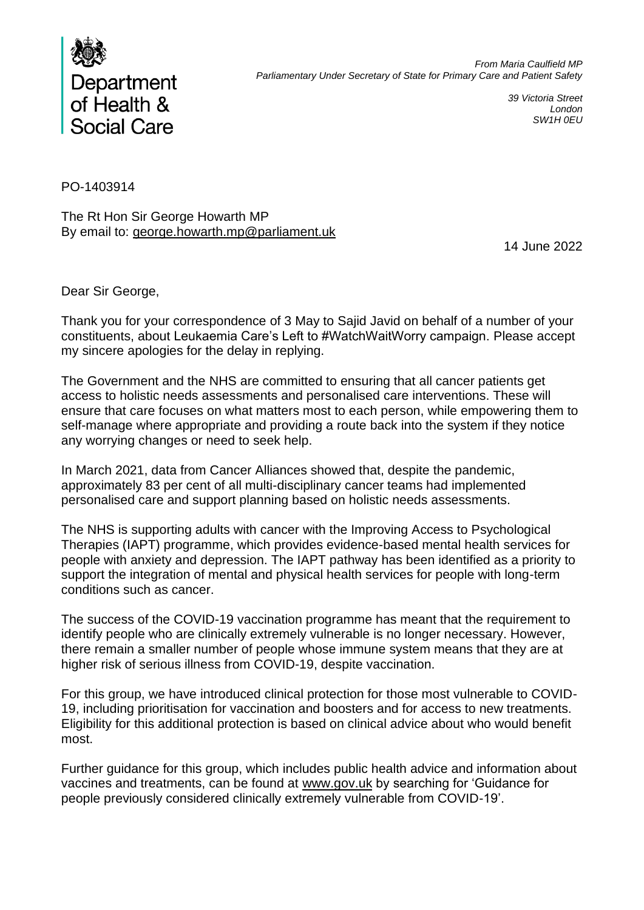

*39 Victoria Street London SW1H 0EU*

PO-1403914

The Rt Hon Sir George Howarth MP By email to: george.howarth.mp@parliament.uk

14 June 2022

Dear Sir George,

Thank you for your correspondence of 3 May to Sajid Javid on behalf of a number of your constituents, about Leukaemia Care's Left to #WatchWaitWorry campaign. Please accept my sincere apologies for the delay in replying.

The Government and the NHS are committed to ensuring that all cancer patients get access to holistic needs assessments and personalised care interventions. These will ensure that care focuses on what matters most to each person, while empowering them to self-manage where appropriate and providing a route back into the system if they notice any worrying changes or need to seek help.

In March 2021, data from Cancer Alliances showed that, despite the pandemic, approximately 83 per cent of all multi-disciplinary cancer teams had implemented personalised care and support planning based on holistic needs assessments.

The NHS is supporting adults with cancer with the Improving Access to Psychological Therapies (IAPT) programme, which provides evidence-based mental health services for people with anxiety and depression. The IAPT pathway has been identified as a priority to support the integration of mental and physical health services for people with long-term conditions such as cancer.

The success of the COVID-19 vaccination programme has meant that the requirement to identify people who are clinically extremely vulnerable is no longer necessary. However, there remain a smaller number of people whose immune system means that they are at higher risk of serious illness from COVID-19, despite vaccination.

For this group, we have introduced clinical protection for those most vulnerable to COVID-19, including prioritisation for vaccination and boosters and for access to new treatments. Eligibility for this additional protection is based on clinical advice about who would benefit most.

Further guidance for this group, which includes public health advice and information about vaccines and treatments, can be found at www.gov.uk by searching for 'Guidance for people previously considered clinically extremely vulnerable from COVID-19'.